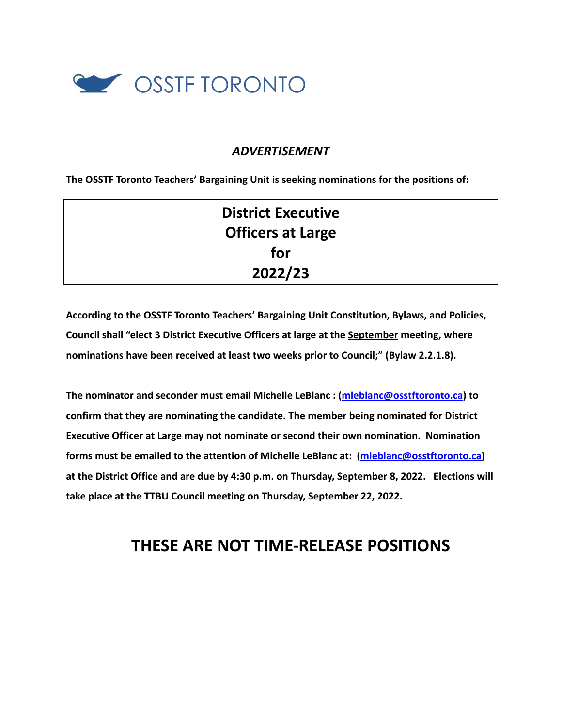

### *ADVERTISEMENT*

**The OSSTF Toronto Teachers' Bargaining Unit is seeking nominations for the positions of:**

| <b>District Executive</b> |  |
|---------------------------|--|
| <b>Officers at Large</b>  |  |
| for                       |  |
| 2022/23                   |  |

**According to the OSSTF Toronto Teachers' Bargaining Unit Constitution, Bylaws, and Policies, Council shall "elect 3 District Executive Officers at large at the September meeting, where nominations have been received at least two weeks prior to Council;" (Bylaw 2.2.1.8).**

**The nominator and seconder must email Michelle LeBlanc : [\(mleblanc@osstftoronto.ca\)](mailto:mleblanc@osstftoronto.ca) to confirm that they are nominating the candidate. The member being nominated for District Executive Officer at Large may not nominate or second their own nomination. Nomination forms must be emailed to the attention of Michelle LeBlanc at: ([mleblanc@osstftoronto.ca\)](mailto:mleblanc@osstftoronto.ca) at the District Office and are due by 4:30 p.m. on Thursday, September 8, 2022. Elections will take place at the TTBU Council meeting on Thursday, September 22, 2022.**

# **THESE ARE NOT TIME-RELEASE POSITIONS**